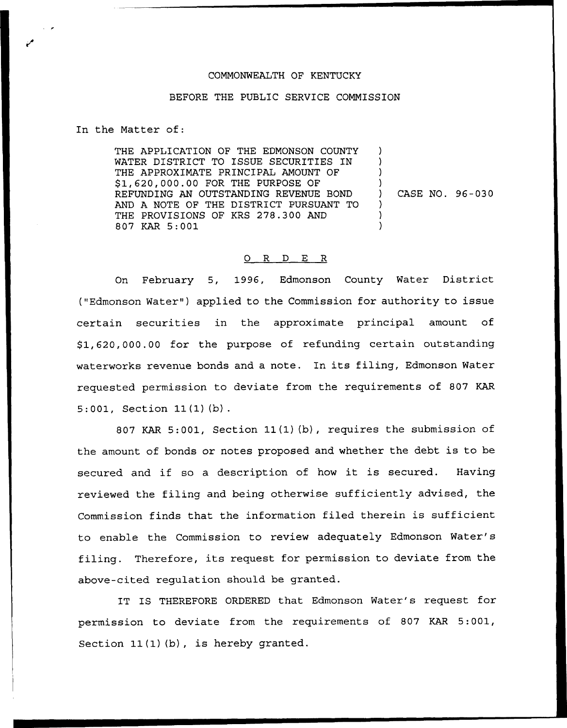## COMMONWEALTH OF KENTUCKY

## BEFORE THE PUBLIC SERVICE COMMISSION

In the Matter of:

THE APPLICATION OF THE EDMONSON COUNTY WATER DISTRICT TO ISSUE SECURITIES IN THE APPROXIMATE PRINCIPAL AMOUNT OF \$1,620,000.00 FOR THE PURPOSE OF REFUNDING AN OUTSTANDING REVENUE BOND AND A NOTE OF THE DISTRICT PURSUANT TO THE PROVISIONS OF KRS 278.300 AND 807 KAR 5:001 ) ) ) ) ) CASE NO. 96-030 ) ) )

## 0 R <sup>D</sup> E R

On February 5, 1996, Edmonson County Water District ("Edmonson Water") applied to the Commission for authority to issue certain securities in the approximate principal amount of \$1,620,000.00 for the purpose of refunding certain outstanding waterworks revenue bonds and <sup>a</sup> note. In its filing, Edmonson Water requested permission to deviate from the requirements of 807 KAR 5:001, Section 11(1)(b).

807 KAR 5:001, Section 11(1)(b), requires the submission of the amount of bonds or notes proposed and whether the debt is to be secured and if so <sup>a</sup> description of how it is secured. Having reviewed the filing and being otherwise sufficiently advised, the Commission finds that the information filed therein is sufficient to enable the Commission to review adequately Edmonson Water' filing. Therefore, its request for permission to deviate from the above-cited regulation should be granted.

IT IS THEREFORE ORDERED that Edmonson Water's request for permission to deviate from the requirements of 807 KAR 5:001, Section  $11(1)(b)$ , is hereby granted.